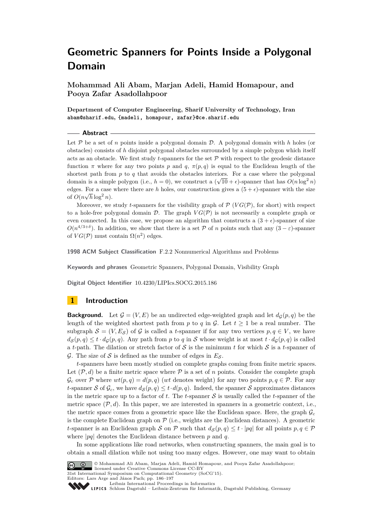# **Geometric Spanners for Points Inside a Polygonal Domain**

**Mohammad Ali Abam, Marjan Adeli, Hamid Homapour, and Pooya Zafar Asadollahpoor**

**Department of Computer Engineering, Sharif University of Technology, Iran abam@sharif.edu, {madeli, homapour, zafar}@ce.sharif.edu**

#### **Abstract**

Let  $P$  be a set of *n* points inside a polygonal domain  $D$ . A polygonal domain with *h* holes (or obstacles) consists of *h* disjoint polygonal obstacles surrounded by a simple polygon which itself acts as an obstacle. We first study  $t$ -spanners for the set  $P$  with respect to the geodesic distance function  $\pi$  where for any two points p and q,  $\pi(p,q)$  is equal to the Euclidean length of the shortest path from *p* to *q* that avoids the obstacles interiors. For a case where the polygonal shortest path from p to q that avoids the obstacles interiors. For a case where the polygonal domain is a simple polygon (i.e.,  $h = 0$ ), we construct a  $(\sqrt{10} + \epsilon)$ -spanner that has  $O(n \log^2 n)$ edges. For a case where there are *h* holes, our construction gives a  $(5 + \epsilon)$ -spanner with the size of  $O(n\sqrt{h}\log^2 n)$ .

Moreover, we study *t*-spanners for the visibility graph of  $\mathcal{P}(VG(\mathcal{P}))$ , for short) with respect to a hole-free polygonal domain  $D$ . The graph  $VG(\mathcal{P})$  is not necessarily a complete graph or even connected. In this case, we propose an algorithm that constructs a  $(3 + \epsilon)$ -spanner of size  $O(n^{4/3+\delta})$ . In addition, we show that there is a set P of *n* points such that any  $(3 - \varepsilon)$ -spanner of  $VG(\mathcal{P})$  must contain  $\Omega(n^2)$  edges.

**1998 ACM Subject Classification** F.2.2 Nonnumerical Algorithms and Problems

**Keywords and phrases** Geometric Spanners, Polygonal Domain, Visibility Graph

**Digital Object Identifier** [10.4230/LIPIcs.SOCG.2015.186](http://dx.doi.org/10.4230/LIPIcs.SOCG.2015.186)

## **1 Introduction**

**Background.** Let  $\mathcal{G} = (V, E)$  be an undirected edge-weighted graph and let  $d_G(p, q)$  be the length of the weighted shortest path from *p* to *q* in G. Let  $t \geq 1$  be a real number. The subgraph  $S = (V, E_S)$  of G is called a t-spanner if for any two vertices  $p, q \in V$ , we have  $d_S(p,q) \le t \cdot d_G(p,q)$ . Any path from p to q in S whose weight is at most  $t \cdot d_G(p,q)$  is called a *t*-path. The dilation or stretch factor of S is the minimum *t* for which S is a *t*-spanner of G. The size of  $S$  is defined as the number of edges in  $E_S$ .

*t*-spanners have been mostly studied on complete graphs coming from finite metric spaces. Let  $(\mathcal{P}, d)$  be a finite metric space where  $\mathcal P$  is a set of *n* points. Consider the complete graph  $\mathcal{G}_c$  over P where  $wt(p,q) = d(p,q)$  (*wt* denotes weight) for any two points  $p, q \in \mathcal{P}$ . For any *t*-spanner S of  $\mathcal{G}_c$ , we have  $d_{\mathcal{S}}(p,q) \leq t \cdot d(p,q)$ . Indeed, the spanner S approximates distances in the metric space up to a factor of  $t$ . The  $t$ -spanner  $S$  is usually called the  $t$ -spanner of the metric space  $(\mathcal{P}, d)$ . In this paper, we are interested in spanners in a geometric context, i.e., the metric space comes from a geometric space like the Euclidean space. Here, the graph G*<sup>c</sup>* is the complete Euclidean graph on  $P$  (i.e., weights are the Euclidean distances). A geometric *t*-spanner is an Euclidean graph S on P such that  $d_S(p,q) \leq t \cdot |pq|$  for all points  $p,q \in \mathcal{P}$ where |*pq*| denotes the Euclidean distance between *p* and *q*.

In some applications like road networks, when constructing spanners, the main goal is to obtain a small dilation while not using too many edges. However, one may want to obtain



<sup>©</sup> Mohammad Ali Abam, Marjan Adeli, Hamid Homapour, and Pooya Zafar Asadollahpoor;

licensed under Creative Commons License CC-BY 31st International Symposium on Computational Geometry (SoCG'15).

Leibniz international Froceedings in informatik, Dagstuhl Publishing, Germany<br>LIPICS [Schloss Dagstuhl – Leibniz-Zentrum für Informatik, Dagstuhl Publishing, Germany](http://www.dagstuhl.de)

Editors: Lars Arge and János Pach; pp. 186[–197](#page-11-0)

[Leibniz International Proceedings in Informatics](http://www.dagstuhl.de/lipics/)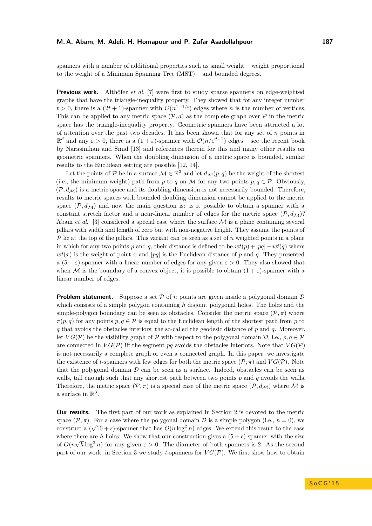spanners with a number of additional properties such as small weight – weight proportional to the weight of a Minimum Spanning Tree (MST) – and bounded degrees.

**Previous work.** Althöfer *et al.* [\[7\]](#page-11-1) were first to study sparse spanners on edge-weighted graphs that have the triangle-inequality property. They showed that for any integer number  $t > 0$ , there is a  $(2t + 1)$ -spanner with  $\mathcal{O}(n^{1+1/t})$  edges where *n* is the number of vertices. This can be applied to any metric space  $(\mathcal{P}, d)$  as the complete graph over  $\mathcal P$  in the metric space has the triangle-inequality property. Geometric spanners have been attracted a lot of attention over the past two decades. It has been shown that for any set of *n* points in  $\mathbb{R}^d$  and any  $\varepsilon > 0$ , there is a  $(1 + \varepsilon)$ -spanner with  $\mathcal{O}(n/\varepsilon^{d-1})$  edges – see the recent book by Narasimhan and Smid [\[13\]](#page-11-2) and references therein for this and many other results on geometric spanners. When the doubling dimension of a metric space is bounded, similar results to the Euclidean setting are possible [\[12,](#page-11-3) [14\]](#page-11-4).

Let the points of P be in a surface  $\mathcal{M} \in \mathbb{R}^3$  and let  $d_{\mathcal{M}}(p,q)$  be the weight of the shortest (i.e., the minimum weight) path from *p* to *q* on *M* for any two points  $p, q \in \mathcal{P}$ . Obviously,  $(\mathcal{P}, d_{\mathcal{M}})$  is a metric space and its doubling dimension is not necessarily bounded. Therefore, results to metric spaces with bounded doubling dimension cannot be applied to the metric space  $(\mathcal{P}, d_{\mathcal{M}})$  and now the main question is: is it possible to obtain a spanner with a constant stretch factor and a near-linear number of edges for the metric space  $(\mathcal{P}, d_{\mathcal{M}})$ ? Abam *et al.* [\[3\]](#page-11-5) considered a special case where the surface  $M$  is a plane containing several pillars with width and length of zero but with non-negative height. They assume the points of  $\mathcal P$  lie at the top of the pillars. This variant can be seen as a set of *n* weighted points in a plane in which for any two points p and q, their distance is defined to be  $wt(p) + |pq| + wt(q)$  where  $wt(x)$  is the weight of point *x* and |*pq*| is the Euclidean distance of *p* and *q*. They presented a  $(5 + \varepsilon)$ -spanner with a linear number of edges for any given  $\varepsilon > 0$ . They also showed that when M is the boundary of a convex object, it is possible to obtain  $(1 + \varepsilon)$ -spanner with a linear number of edges.

**Problem statement.** Suppose a set  $P$  of  $n$  points are given inside a polygonal domain  $D$ which consists of a simple polygon containing *h* disjoint polygonal holes. The holes and the simple-polygon boundary can be seen as obstacles. Consider the metric space  $(\mathcal{P}, \pi)$  where  $\pi(p,q)$  for any points  $p,q \in \mathcal{P}$  is equal to the Euclidean length of the shortest path from *p* to *q* that avoids the obstacles interiors; the so-called the geodesic distance of *p* and *q*. Moreover, let  $VG(\mathcal{P})$  be the visibility graph of  $\mathcal P$  with respect to the polygonal domain  $\mathcal D$ , i.e.,  $p, q \in \mathcal P$ are connected in  $VG(\mathcal{P})$  iff the segment pq avoids the obstacles interiors. Note that  $VG(\mathcal{P})$ is not necessarily a complete graph or even a connected graph. In this paper, we investigate the existence of *t*-spanners with few edges for both the metric space  $(\mathcal{P}, \pi)$  and  $VG(\mathcal{P})$ . Note that the polygonal domain  $\mathcal D$  can be seen as a surface. Indeed, obstacles can be seen as walls, tall enough such that any shortest path between two points *p* and *q* avoids the walls. Therefore, the metric space  $(\mathcal{P}, \pi)$  is a special case of the metric space  $(\mathcal{P}, d_{\mathcal{M}})$  where M is a surface in  $\mathbb{R}^3$ .

**Our results.** The first part of our work as explained in Section 2 is devoted to the metric space  $(\mathcal{P}, \pi)$ . For a case where the polygonal domain  $\mathcal D$  is a simple polygon (i.e.,  $h = 0$ ), we space  $(\ell, \pi)$ . For a case where the polygonal domain  $\nu$  is a simple polygon (i.e.,  $n = 0$ ), we construct a  $(\sqrt{10} + \epsilon)$ -spanner that has  $O(n \log^2 n)$  edges. We extend this result to the case where there are *h* holes. We show that our construction gives a  $(5 + \epsilon)$ -spanner with the size of  $O(n\sqrt{h}\log^2 n)$  for any given  $\varepsilon > 0$ . The diameter of both spanners is 2. As the second part of our work, in Section 3 we study *t*-spanners for  $VG(\mathcal{P})$ . We first show how to obtain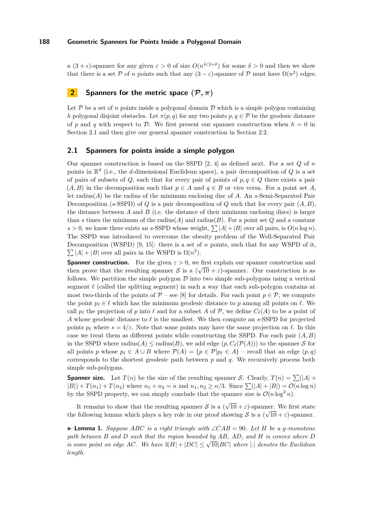#### **188 Geometric Spanners for Points Inside a Polygonal Domain**

a  $(3 + \epsilon)$ -spanner for any given  $\varepsilon > 0$  of size  $O(n^{4/3+\delta})$  for some  $\delta > 0$  and then we show that there is a set P of *n* points such that any  $(3 - \varepsilon)$ -spanner of P must have  $\Omega(n^2)$  edges.

# **2 Spanners for the metric space**  $(\mathcal{P}, \pi)$

Let  $P$  be a set of *n* points inside a polygonal domain  $D$  which is a simple polygon containing *h* polygonal disjoint obstacles. Let  $\pi(p,q)$  for any two points  $p,q \in \mathcal{P}$  be the geodesic distance of p and q with respect to D. We first present our spanner construction when  $h = 0$  in Section [2.1](#page-2-0) and then give our general spanner construction in Section [2.2.](#page-5-0)

#### <span id="page-2-0"></span>**2.1 Spanners for points inside a simple polygon**

Our spanner construction is based on the SSPD [\[2,](#page-10-0) [4\]](#page-11-6) as defined next. For a set *Q* of *n* points in R *d* (i.e., the *d*-dimensional Euclidean space), a pair decomposition of *Q* is a set of pairs of subsets of  $Q$ , such that for every pair of points of  $p, q \in Q$  there exists a pair  $(A, B)$  in the decomposition such that  $p \in A$  and  $q \in B$  or vice versa. For a point set A, let radius(*A*) be the radius of the minimum enclosing disc of *A*. An *s*-Semi-Separated Pair Decomposition (*s*-SSPD) of *Q* is a pair decomposition of *Q* such that for every pair (*A, B*), the distance between *A* and *B* (i.e. the distance of their minimum enclosing discs) is larger than *s* times the minimum of the radius(*A*) and radius(*B*). For a point set *Q* and a constant  $s > 0$ , we know there exists an *s*-SSPD whose weight,  $\sum |A| + |B|$  over all pairs, is  $O(n \log n)$ . The SSPD was introduced to overcome the obesity problem of the Well-Separated Pair Decomposition (WSPD) [\[9,](#page-11-7) [15\]](#page-11-8): there is a set of *n* points, such that for any WSPD of it,  $\sum |A| + |B|$  over all pairs in the WSPD is  $\Omega(n^2)$ .

**Spanner construction.** For the given  $\varepsilon > 0$ , we first explain our spanner construction and **Explainer construction.** For the given  $\varepsilon > 0$ , we first explain our spanner construction and then prove that the resulting spanner S is a  $(\sqrt{10} + \varepsilon)$ -spanner. Our construction is as follows. We partition the simple polygon  $\mathcal D$  into two simple sub-polygons using a vertical segment  $\ell$  (called the splitting segment) in such a way that each sub-polygon contains at most two-thirds of the points of  $P$  – see [\[8\]](#page-11-9) for details. For each point  $p \in \mathcal{P}$ , we compute the point  $p_\ell \in \ell$  which has the minimum geodesic distance to *p* among all points on  $\ell$ . We call  $p_\ell$  the projection of p into  $\ell$  and for a subset A of P, we define  $C_{\ell}(A)$  to be a point of *A* whose geodesic distance to  $\ell$  is the smallest. We then compute an *s*-SSPD for projected points  $p_\ell$  where  $s = 4/\varepsilon$ . Note that some points may have the same projection on  $\ell$ . In this case we treat them as different points while constructing the SSPD. For each pair  $(A, B)$ in the SSPD where  $\text{radius}(A) \leq \text{radius}(B)$ , we add edge  $(p, C_{\ell}(\mathcal{P}(A)))$  to the spanner S for all points *p* whose  $p_\ell \in A \cup B$  where  $\mathcal{P}(A) = \{p \in \mathcal{P} | p_\ell \in A\}$  – recall that an edge  $(p, q)$ corresponds to the shortest geodesic path between *p* and *q*. We recursively process both simple sub-polygons.

**Spanner size.** Let  $T(n)$  be the size of the resulting spanner S. Clearly,  $T(n) = \sum (|A| +$  $|B|$  +  $T(n_1)$  +  $T(n_2)$  where  $n_1 + n_2 = n$  and  $n_1, n_2 \ge n/3$ . Since  $\sum(|A| + |B|) = O(n \log n)$ by the SSPD property, we can simply conclude that the spanner size is  $\mathcal{O}(n \log^2 n)$ .

It remains to show that the resulting spanner S is a  $(\sqrt{10} + \varepsilon)$ -spanner. We first state To remains to show that the resulting spanner  $S$  is a ( $\sqrt{10} + \epsilon$ )-spanner. We first state<br>the following lemma which plays a key role in our proof showing S is a ( $\sqrt{10} + \epsilon$ )-spanner.

<span id="page-2-1"></span>I **Lemma 1.** *Suppose ABC is a right triangle with* ∠*CAB* = 90*. Let H be a y-monotone path between B and D such that the region bounded by AB, AD, and H is convex where D is some point on edge AC*. We have  $3|H| + |DC| \leq \sqrt{10}|BC|$  where || *denotes the Euclidean length.*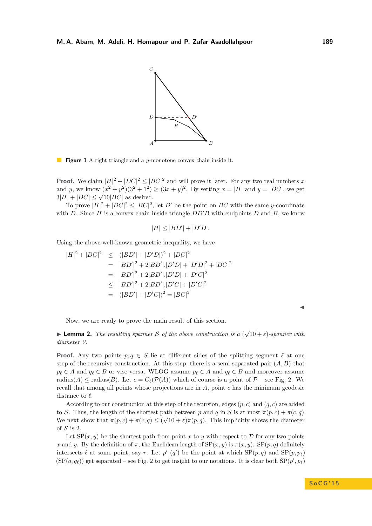

**Figure 1** A right triangle and a *y*-monotone convex chain inside it.

**Proof.** We claim  $|H|^2 + |DC|^2 \leq |BC|^2$  and will prove it later. For any two real numbers x and *y*, we know  $(x^2 + y^2)(3^2 + 1^2) \ge (3x + y)^2$ . By setting  $x = |H|$  and  $y = |DC|$ , we get and y, we know  $(x + y)(3 + 1)$ <br> $3|H| + |DC| \leq \sqrt{10}|BC|$  as desired.

To prove  $|H|^2 + |DC|^2 \leq |BC|^2$ , let *D'* be the point on *BC* with the same *y*-coordinate with *D*. Since *H* is a convex chain inside triangle  $DD'B$  with endpoints *D* and *B*, we know

$$
|H| \le |BD'| + |D'D|.
$$

Using the above well-known geometric inequality, we have

$$
|H|^2 + |DC|^2 \le (|BD'| + |D'D|)^2 + |DC|^2
$$
  
=  $|BD'|^2 + 2|BD'|.|D'D| + |D'D|^2 + |DC|^2$   
=  $|BD'|^2 + 2|BD'|.|D'D| + |D'C|^2$   
 $\le |BD'|^2 + 2|BD'|.|D'C| + |D'C|^2$   
=  $(|BD'| + |D'C|)^2 = |BC|^2$ 

| ×. |         |  |
|----|---------|--|
|    | w<br>M. |  |

Now, we are ready to prove the main result of this section.

**Lemma 2.** *The resulting spanner* S of the above construction is a  $(\sqrt{\sqrt{2}})$  $(10 + \varepsilon)$ -spanner with *diameter 2.*

**Proof.** Any two points  $p, q \in S$  lie at different sides of the splitting segment  $\ell$  at one step of the recursive construction. At this step, there is a semi-separated pair  $(A, B)$  that  $p_{\ell} \in A$  and  $q_{\ell} \in B$  or vise versa. WLOG assume  $p_{\ell} \in A$  and  $q_{\ell} \in B$  and moreover assume radius(*A*)  $\leq$  radius(*B*). Let  $c = C_{\ell}(\mathcal{P}(A))$  which of course is a point of  $\mathcal{P}$  – see Fig. [2.](#page-4-0) We recall that among all points whose projections are in *A*, point *c* has the minimum geodesic distance to  $\ell$ .

According to our construction at this step of the recursion, edges (*p, c*) and (*q, c*) are added to S. Thus, the length of the shortest path between *p* and *q* in S is at most  $\pi(p, c) + \pi(c, q)$ . We next show that  $\pi(p, c) + \pi(c, q) \le (\sqrt{10} + \varepsilon)\pi(p, q)$ . This implicitly shows the diameter of  $S$  is 2.

Let  $\text{SP}(x, y)$  be the shortest path from point *x* to *y* with respect to D for any two points *x* and *y*. By the definition of  $\pi$ , the Euclidean length of  $SP(x, y)$  is  $\pi(x, y)$ .  $SP(p, q)$  definitely intersects  $\ell$  at some point, say *r*. Let  $p'$  (*q*<sup>'</sup>) be the point at which  $SP(p, q)$  and  $SP(p, p_{\ell})$  $(SP(q, q_\ell))$  get separated – see Fig. [2](#page-4-0) to get insight to our notations. It is clear both  $SP(p', p_\ell)$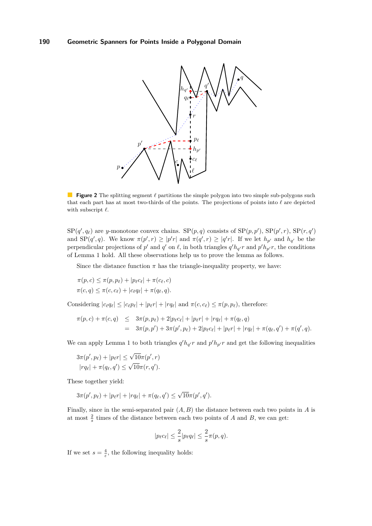<span id="page-4-0"></span>

**Figure 2** The splitting segment  $\ell$  partitions the simple polygon into two simple sub-polygons such that each part has at most two-thirds of the points. The projections of points into  $\ell$  are depicted with subscript  $\ell.$ 

 $SP(q', q_\ell)$  are *y*-monotone convex chains.  $SP(p, q)$  consists of  $SP(p, p'), SP(p', r), SP(r, q')$ and  $SP(q', q)$ . We know  $\pi(p', r) \geq |p'r|$  and  $\pi(q', r) \geq |q'r|$ . If we let  $h_{p'}$  and  $h_{q'}$  be the perpendicular projections of  $p'$  and  $q'$  on  $\ell$ , in both triangles  $q'h_{q'}r$  and  $p'h_{p'}r$ , the conditions of Lemma [1](#page-2-1) hold. All these observations help us to prove the lemma as follows.

Since the distance function  $\pi$  has the triangle-inequality property, we have:

$$
\pi(p,c) \leq \pi(p,p_{\ell}) + |p_{\ell}c_{\ell}| + \pi(c_{\ell},c)
$$
  

$$
\pi(c,q) \leq \pi(c,c_{\ell}) + |c_{\ell}q_{\ell}| + \pi(q_{\ell},q).
$$

Considering  $|c_{\ell}q_{\ell}| \leq |c_{\ell}p_{\ell}| + |p_{\ell}r| + |rq_{\ell}|$  and  $\pi(c, c_{\ell}) \leq \pi(p, p_{\ell})$ , therefore:

$$
\pi(p,c) + \pi(c,q) \leq 3\pi(p,p_{\ell}) + 2|p_{\ell}c_{\ell}| + |p_{\ell}r| + |rq_{\ell}| + \pi(q_{\ell},q)
$$
  
= 
$$
3\pi(p,p') + 3\pi(p',p_{\ell}) + 2|p_{\ell}c_{\ell}| + |p_{\ell}r| + |rq_{\ell}| + \pi(q_{\ell},q') + \pi(q',q).
$$

We can apply Lemma [1](#page-2-1) to both triangles  $q'h_{q'}r$  and  $p'h_{p'}r$  and get the following inequalities

$$
3\pi(p',p_{\ell}) + |p_{\ell}r| \leq \sqrt{10}\pi(p',r)
$$
  
\n
$$
|rq_{\ell}| + \pi(q_{\ell},q') \leq \sqrt{10}\pi(r,q').
$$

These together yield:

$$
3\pi(p', p_{\ell}) + |p_{\ell}r| + |rq_{\ell}| + \pi(q_{\ell}, q') \leq \sqrt{10}\pi(p', q').
$$

Finally, since in the semi-separated pair (*A, B*) the distance between each two points in *A* is at most  $\frac{2}{s}$  times of the distance between each two points of *A* and *B*, we can get:

$$
|p_{\ell}c_{\ell}|\leq \frac{2}{s}|p_{\ell}q_{\ell}|\leq \frac{2}{s}\pi(p,q).
$$

If we set  $s = \frac{4}{\varepsilon}$ , the following inequality holds: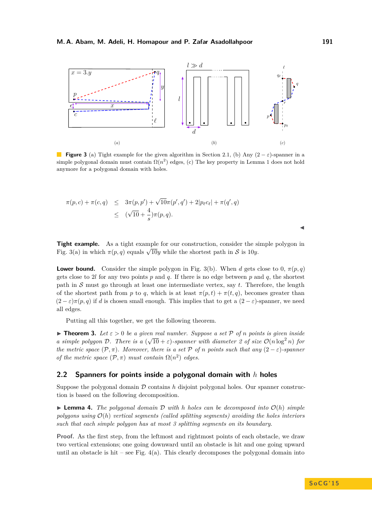<span id="page-5-1"></span>

**Figure 3** (a) Tight example for the given algorithm in Section [2.1,](#page-2-0) (b) Any  $(2 - \varepsilon)$ -spanner in a simple polygonal domain must contain  $\Omega(n^2)$  edges, (c) The key property in Lemma [1](#page-2-1) does not hold anymore for a polygonal domain with holes.

$$
\pi(p,c) + \pi(c,q) \leq 3\pi(p,p') + \sqrt{10}\pi(p',q') + 2|p_{\ell}c_{\ell}| + \pi(q',q)
$$
  

$$
\leq (\sqrt{10} + \frac{4}{s})\pi(p,q).
$$

 $\blacktriangleleft$ 

**Tight example.** As a tight example for our construction, consider the simple polygon in **Fig.** [3\(](#page-5-1)a) in which  $\pi(p, q)$  equals  $\sqrt{10}y$  while the shortest path in S is 10*y*.

**Lower bound.** Consider the simple polygon in Fig. [3\(](#page-5-1)b). When *d* gets close to 0,  $\pi(p,q)$ gets close to 2*l* for any two points  $p$  and  $q$ . If there is no edge between  $p$  and  $q$ , the shortest path in S must go through at least one intermediate vertex, say *t*. Therefore, the length of the shortest path from *p* to *q*, which is at least  $\pi(p,t) + \pi(t,q)$ , becomes greater than  $(2 - \varepsilon)\pi(p,q)$  if *d* is chosen small enough. This implies that to get a  $(2 - \varepsilon)$ -spanner, we need all edges.

Putting all this together, we get the following theorem.

**Theorem 3.** Let  $\varepsilon > 0$  be a given real number. Suppose a set  $P$  of *n* points is given inside *a* simple polygon D. There is a  $(\sqrt{10} + \varepsilon)$ -spanner with diameter 2 of size  $\mathcal{O}(n \log^2 n)$  for *the metric space*  $(\mathcal{P}, \pi)$ *. Moreover, there is a set*  $\mathcal{P}$  *of n points such that any*  $(2 - \varepsilon)$ *-spanner of the metric space*  $(\mathcal{P}, \pi)$  *must contain*  $\Omega(n^2)$  *edges.* 

#### <span id="page-5-0"></span>**2.2 Spanners for points inside a polygonal domain with** *h* **holes**

Suppose the polygonal domain  $\mathcal D$  contains  $h$  disjoint polygonal holes. Our spanner construction is based on the following decomposition.

<span id="page-5-2"></span> $\triangleright$  **Lemma 4.** *The polygonal domain*  $\mathcal D$  *with h holes can be decomposed into*  $\mathcal O(h)$  *simple polygons using* O(*h*) *vertical segments (called splitting segments) avoiding the holes interiors such that each simple polygon has at most 3 splitting segments on its boundary.*

**Proof.** As the first step, from the leftmost and rightmost points of each obstacle, we draw two vertical extensions; one going downward until an obstacle is hit and one going upward until an obstacle is hit – see Fig.  $4(a)$ . This clearly decomposes the polygonal domain into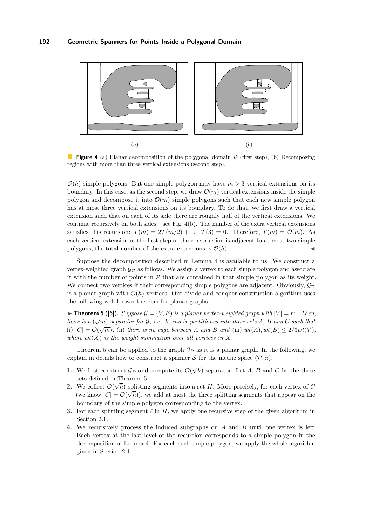<span id="page-6-0"></span>

**Figure 4** (a) Planar decomposition of the polygonal domain D (first step), (b) Decomposing regions with more than three vertical extensions (second step).

 $\mathcal{O}(h)$  simple polygons. But one simple polygon may have  $m > 3$  vertical extensions on its boundary. In this case, as the second step, we draw  $\mathcal{O}(m)$  vertical extensions inside the simple polygon and decompose it into  $\mathcal{O}(m)$  simple polygons such that each new simple polygon has at most three vertical extensions on its boundary. To do that, we first draw a vertical extension such that on each of its side there are roughly half of the vertical extensions. We continue recursively on both sides – see Fig.  $4(b)$ . The number of the extra vertical extensions satisfies this recursion:  $T(m) = 2T(m/2) + 1$ ,  $T(3) = 0$ . Therefore,  $T(m) = \mathcal{O}(m)$ . As each vertical extension of the first step of the construction is adjacent to at most two simple polygons, the total number of the extra extensions is  $\mathcal{O}(h)$ .

Suppose the decomposition described in Lemma [4](#page-5-2) is available to us. We construct a vertex-weighted graph  $\mathcal{G}_D$  as follows. We assign a vertex to each simple polygon and associate it with the number of points in  $\mathcal P$  that are contained in that simple polygon as its weight. We connect two vertices if their corresponding simple polygons are adjacent. Obviously,  $\mathcal{G}_D$ is a planar graph with  $\mathcal{O}(h)$  vertices. Our divide-and-conquer construction algorithm uses the following well-known theorem for planar graphs.

<span id="page-6-1"></span>▶ **Theorem 5** ([\[6\]](#page-11-10)). *Suppose*  $\mathcal{G} = (V, E)$  *is a planar vertex-weighted graph with*  $|V| = m$ *. Then, there is a*  $(\sqrt{m})$ -separator for G, i.e., *V* can be partitioned into three sets A, B and C such that (i)  $|C| = \mathcal{O}(\sqrt{m})$ , (ii) there is no edge between *A* and *B* and (iii)  $wt(A), wt(B) \leq 2/3wt(V)$ , *where*  $wt(X)$  *is the weight summation over all vertices in*  $X$ *.* 

Theorem [5](#page-6-1) can be applied to the graph  $\mathcal{G}_{\mathcal{D}}$  as it is a planar graph. In the following, we explain in details how to construct a spanner S for the metric space  $(\mathcal{P}, \pi)$ .

- **1.** We first construct  $\mathcal{G}_{\mathcal{D}}$  and compute its  $\mathcal{O}(\mathcal{A})$ √ *h*)-separator. Let *A*, *B* and *C* be the three sets defined in Theorem [5.](#page-6-1)
- 2. We collect  $\mathcal{O}(\sqrt{h})$  splitting segments into a set *H*. More precisely, for each vertex of *C* (we know  $|C| = \mathcal{O}(\sqrt{h})$ ), we add at most the three splitting segments that appear on the boundary of the simple polygon corresponding to the vertex.
- **3.** For each splitting segment  $\ell$  in  $H$ , we apply one recursive step of the given algorithm in Section [2.1.](#page-2-0)
- **4.** We recursively process the induced subgraphs on *A* and *B* until one vertex is left. Each vertex at the last level of the recursion corresponds to a simple polygon in the decomposition of Lemma [4.](#page-5-2) For each such simple polygon, we apply the whole algorithm given in Section [2.1.](#page-2-0)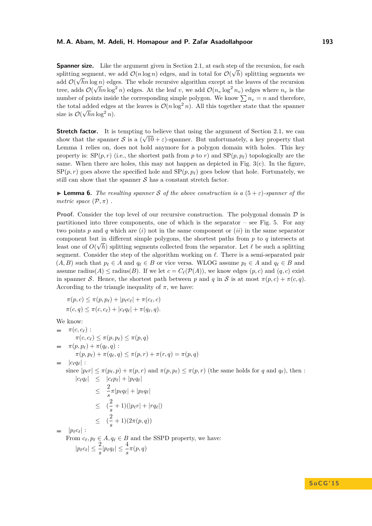**Spanner size.** Like the argument given in Section [2.1,](#page-2-0) at each step of the recursion, for each splitting segment, we add  $\mathcal{O}(n \log n)$  edges, and in total for  $\mathcal{O}(\sqrt{n})$  splitting segments we add  $\mathcal{O}(\sqrt{hn} \log n)$  edges. The whole recursive algorithm except at the leaves of the recursion tree, adds  $\mathcal{O}(\sqrt{h}n \log^2 n)$  edges. At the leaf v, we add  $\mathcal{O}(n_v \log^2 n_v)$  edges where  $n_v$  is the number of points inside the corresponding simple polygon. We know  $\sum n_v = n$  and therefore, the total added edges at the leaves is  $\mathcal{O}(n \log^2 n)$ . All this together state that the spanner size is  $\mathcal{O}(\sqrt{h}n\log^2 n)$ .

**Stretch factor.** It is tempting to believe that using the argument of Section [2.1,](#page-2-0) we can show that the spanner S is a  $(\sqrt{10} + \varepsilon)$ -spanner. But unfortunately, a key property that Lemma [1](#page-2-1) relies on, does not hold anymore for a polygon domain with holes. This key property is:  $SP(p, r)$  (i.e., the shortest path from *p* to *r*) and  $SP(p, p_\ell)$  topologically are the same. When there are holes, this may not happen as depicted in Fig.  $3(c)$ . In the figure,  $SP(p, r)$  goes above the specified hole and  $SP(p, p_\ell)$  goes below that hole. Fortunately, we still can show that the spanner  $S$  has a constant stretch factor.

**I Lemma 6.** The resulting spanner S of the above construction is a  $(5 + \varepsilon)$ -spanner of the *metric space*  $(\mathcal{P}, \pi)$ .

**Proof.** Consider the top level of our recursive construction. The polygonal domain  $D$  is partitioned into three components, one of which is the separator – see Fig.  $5$ . For any two points *p* and *q* which are (*i*) not in the same component or (*ii*) in the same separator component but in different simple polygons, the shortest paths from *p* to *q* intersects at √ least one of  $O(\sqrt{h})$  splitting segments collected from the separator. Let  $\ell$  be such a splitting segment. Consider the step of the algorithm working on  $\ell$ . There is a semi-separated pair  $(A, B)$  such that  $p_\ell \in A$  and  $q_\ell \in B$  or vice versa. WLOG assume  $p_\ell \in A$  and  $q_\ell \in B$  and assume radius(*A*)  $\leq$  radius(*B*). If we let  $c = C_{\ell}(\mathcal{P}(A))$ , we know edges  $(p, c)$  and  $(q, c)$  exist in spanner S. Hence, the shortest path between *p* and *q* in S is at most  $\pi(p, c) + \pi(c, q)$ . According to the triangle inequality of  $\pi$ , we have:

$$
\pi(p,c) \leq \pi(p,p_{\ell}) + |p_{\ell}c_{\ell}| + \pi(c_{\ell},c)
$$
  

$$
\pi(c,q) \leq \pi(c,c_{\ell}) + |c_{\ell}q_{\ell}| + \pi(q_{\ell},q).
$$

We know:

\n- \n
$$
\pi(c, c_{\ell})
$$
:\n  $\pi(c, c_{\ell}) \leq \pi(p, p_{\ell}) \leq \pi(p, q)$ \n
\n- \n $\pi(p, p_{\ell}) + \pi(q_{\ell}, q)$ :\n  $\pi(p, p_{\ell}) + \pi(q_{\ell}, q) \leq \pi(p, r) + \pi(r, q) = \pi(p, q)$ \n
\n- \n $|c_{\ell}q_{\ell}|$ :\n  $\text{since } |p_{\ell}| \leq \pi(p_{\ell}, p) + \pi(p, r)$  and  $\pi(p, p_{\ell}) \leq \pi(p, r)$  (the same holds for  $q$  and  $q_{\ell}$ ), then:\n  $|c_{\ell}q_{\ell}| \leq |c_{\ell}p_{\ell}| + |pq_{\ell}q_{\ell}|$ \n $\leq \frac{2}{s}\pi|p_{\ell}q_{\ell}| + |pq_{\ell}q_{\ell}|$ \n $\leq (\frac{2}{s} + 1)(|p_{\ell}r| + |rq_{\ell}|)$ \n $\leq (\frac{2}{s} + 1)(2\pi(p, q))$ \n
\n- \n $|p_{\ell}c_{\ell}|$ :\n  $\text{From } c_{\ell}, p_{\ell} \in A, q_{\ell} \in B \text{ and the SSD property, we have:\n  $|p_{\ell}c_{\ell}| \leq \frac{2}{s}|p_{\ell}q_{\ell}| \leq \frac{4}{s}\pi(p, q)$ \n$
\n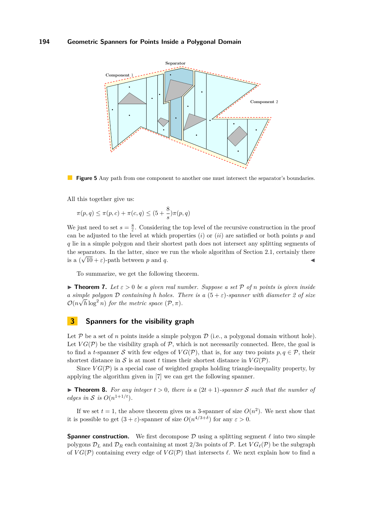#### **194 Geometric Spanners for Points Inside a Polygonal Domain**

<span id="page-8-0"></span>



All this together give us:

$$
\pi(p, q) \le \pi(p, c) + \pi(c, q) \le (5 + \frac{8}{s})\pi(p, q)
$$

We just need to set  $s = \frac{8}{\varepsilon}$ . Considering the top level of the recursive construction in the proof can be adjusted to the level at which properties (*i*) or (*ii*) are satisfied or both points *p* and *q* lie in a simple polygon and their shortest path does not intersect any splitting segments of the separators. In the latter, since we run the whole algorithm of Section [2.1,](#page-2-0) certainly there is a  $(\sqrt{10} + \varepsilon)$ -path between *p* and *q*.

To summarize, we get the following theorem.

**Find 7.** Let  $\varepsilon > 0$  be a given real number. Suppose a set P of *n* points is given inside *a simple polygon* D *containing h holes. There is a* (5 + *ε*)*-spanner with diameter 2 of size* √  $\mathcal{O}(n\sqrt{h}\log^2 n)$  for the metric space  $(\mathcal{P}, \pi)$ .

### **3 Spanners for the visibility graph**

Let  $P$  be a set of *n* points inside a simple polygon  $D$  (i.e., a polygonal domain without hole). Let  $VG(\mathcal{P})$  be the visibility graph of  $\mathcal{P}$ , which is not necessarily connected. Here, the goal is to find a *t*-spanner S with few edges of  $VG(\mathcal{P})$ , that is, for any two points  $p, q \in \mathcal{P}$ , their shortest distance in S is at most t times their shortest distance in  $VG(\mathcal{P})$ .

Since  $VG(\mathcal{P})$  is a special case of weighted graphs holding triangle-inequality property, by applying the algorithm given in [\[7\]](#page-11-1) we can get the following spanner.

**Figurer 8.** For any integer  $t > 0$ , there is a  $(2t + 1)$ -spanner S such that the number of *edges in* S *is*  $O(n^{1+1/t})$ *.* 

If we set  $t = 1$ , the above theorem gives us a 3-spanner of size  $O(n^2)$ . We next show that it is possible to get  $(3 + \varepsilon)$ -spanner of size  $O(n^{4/3+\delta})$  for any  $\varepsilon > 0$ .

**Spanner construction.** We first decompose  $\mathcal{D}$  using a splitting segment  $\ell$  into two simple polygons  $\mathcal{D}_L$  and  $\mathcal{D}_R$  each containing at most  $2/3n$  points of P. Let  $VG_{\ell}(\mathcal{P})$  be the subgraph of  $VG(\mathcal{P})$  containing every edge of  $VG(\mathcal{P})$  that intersects  $\ell$ . We next explain how to find a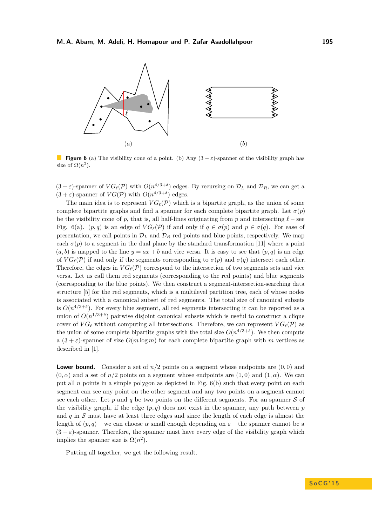<span id="page-9-0"></span>

**Figure 6** (a) The visibility cone of a point. (b) Any  $(3 - \varepsilon)$ -spanner of the visibility graph has size of  $\Omega(n^2)$ .

 $(3 + \varepsilon)$ -spanner of  $VG_{\ell}(P)$  with  $O(n^{4/3+\delta})$  edges. By recursing on  $\mathcal{D}_L$  and  $\mathcal{D}_R$ , we can get a  $(3 + \varepsilon)$ -spanner of  $VG(\mathcal{P})$  with  $O(n^{4/3+\delta})$  edges.

The main idea is to represent  $VG_{\ell}(P)$  which is a bipartite graph, as the union of some complete bipartite graphs and find a spanner for each complete bipartite graph. Let  $\sigma(p)$ be the visibility cone of p, that is, all half-lines originating from p and intersecting  $\ell$  – see Fig. [6\(](#page-9-0)a).  $(p,q)$  is an edge of  $VG_{\ell}(P)$  if and only if  $q \in \sigma(p)$  and  $p \in \sigma(q)$ . For ease of presentation, we call points in  $\mathcal{D}_L$  and  $\mathcal{D}_R$  red points and blue points, respectively. We map each  $\sigma(p)$  to a segment in the dual plane by the standard transformation [\[11\]](#page-11-11) where a point  $(a, b)$  is mapped to the line  $y = ax + b$  and vice versa. It is easy to see that  $(p, q)$  is an edge of  $VG_{\ell}(\mathcal{P})$  if and only if the segments corresponding to  $\sigma(p)$  and  $\sigma(q)$  intersect each other. Therefore, the edges in  $VG_{\ell}(P)$  correspond to the intersection of two segments sets and vice versa. Let us call them red segments (corresponding to the red points) and blue segments (corresponding to the blue points). We then construct a segment-intersection-searching data structure [\[5\]](#page-11-12) for the red segments, which is a multilevel partition tree, each of whose nodes is associated with a canonical subset of red segments. The total size of canonical subsets is  $O(n^{4/3+\delta})$ . For every blue segment, all red segments intersecting it can be reported as a union of  $O(n^{1/3+\delta})$  pairwise disjoint canonical subsets which is useful to construct a clique cover of  $VG_{\ell}$  without computing all intersections. Therefore, we can represent  $VG_{\ell}(P)$  as the union of some complete bipartite graphs with the total size  $O(n^{4/3+\delta})$ . We then compute a  $(3 + \varepsilon)$ -spanner of size  $O(m \log m)$  for each complete bipartite graph with *m* vertices as described in [\[1\]](#page-10-1).

**Lower bound.** Consider a set of  $n/2$  points on a segment whose endpoints are  $(0,0)$  and  $(0, \alpha)$  and a set of  $n/2$  points on a segment whose endpoints are  $(1, 0)$  and  $(1, \alpha)$ . We can put all  $n$  points in a simple polygon as depicted in Fig.  $6(b)$  such that every point on each segment can see any point on the other segment and any two points on a segment cannot see each other. Let  $p$  and  $q$  be two points on the different segments. For an spanner  $S$  of the visibility graph, if the edge  $(p, q)$  does not exist in the spanner, any path between  $p$ and  $q$  in  $S$  must have at least three edges and since the length of each edge is almost the length of  $(p, q)$  – we can choose  $\alpha$  small enough depending on  $\varepsilon$  – the spanner cannot be a  $(3 - \varepsilon)$ -spanner. Therefore, the spanner must have every edge of the visibility graph which implies the spanner size is  $\Omega(n^2)$ .

Putting all together, we get the following result.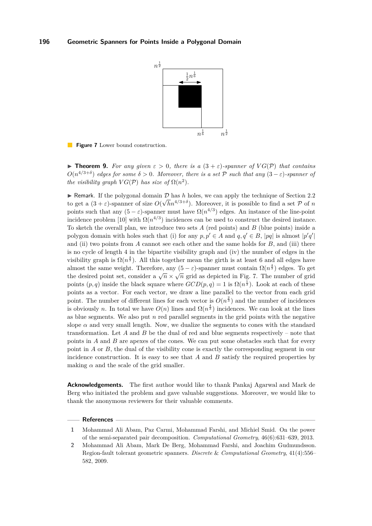<span id="page-10-2"></span>

**Figure 7** Lower bound construction.

**Theorem 9.** For any given  $\varepsilon > 0$ , there is a  $(3 + \varepsilon)$ -spanner of  $VG(\mathcal{P})$  that contains  $O(n^{4/3+\delta})$  *edges for some*  $\delta > 0$ *. Moreover, there is a set* P *such that any*  $(3 - \varepsilon)$ *-spanner of the visibility graph*  $VG(\mathcal{P})$  *has size of*  $\Omega(n^2)$ *.* 

**In Remark.** If the polygonal domain  $D$  has  $h$  holes, we can apply the technique of Section [2.2](#page-5-0) to get a  $(3 + \varepsilon)$ -spanner of size  $O($  $\sqrt{h}n^{4/3+\delta}$ . Moreover, it is possible to find a set P of *n* points such that any  $(5 - \varepsilon)$ -spanner must have  $\Omega(n^{4/3})$  edges. An instance of the line-point incidence problem [\[10\]](#page-11-13) with  $\Omega(n^{4/3})$  incidences can be used to construct the desired instance. To sketch the overall plan, we introduce two sets *A* (red points) and *B* (blue points) inside a polygon domain with holes such that (i) for any  $p, p' \in A$  and  $q, q' \in B$ , |*pq*| is almost  $|p'q'|$ and (ii) two points from  $A$  cannot see each other and the same holds for  $B$ , and (iii) there is no cycle of length 4 in the bipartite visibility graph and (iv) the number of edges in the visibility graph is  $\Omega(n^{\frac{4}{3}})$ . All this together mean the girth is at least 6 and all edges have almost the same weight. Therefore, any  $(5 - \varepsilon)$ -spanner must contain  $\Omega(n^{\frac{4}{3}})$  edges. To get the desired point set, consider a  $\sqrt{n} \times \sqrt{n}$  grid as depicted in Fig. [7.](#page-10-2) The number of grid the desired point set, consider a  $\sqrt{n} \times \sqrt{n}$  grid as depicted in Fig. 7. points  $(p, q)$  inside the black square where  $GCD(p, q) = 1$  is  $\Omega(n^{\frac{1}{3}})$ . Look at each of these points as a vector. For each vector, we draw a line parallel to the vector from each grid point. The number of different lines for each vector is  $O(n^{\frac{2}{3}})$  and the number of incidences is obviously *n*. In total we have  $O(n)$  lines and  $\Omega(n^{\frac{4}{3}})$  incidences. We can look at the lines as blue segments. We also put *n* red parallel segments in the grid points with the negative slope  $\alpha$  and very small length. Now, we dualize the segments to cones with the standard transformation. Let *A* and *B* be the dual of red and blue segments respectively – note that points in *A* and *B* are apexes of the cones. We can put some obstacles such that for every point in *A* or *B*, the dual of the visibility cone is exactly the corresponding segment in our incidence construction. It is easy to see that *A* and *B* satisfy the required properties by making  $\alpha$  and the scale of the grid smaller.

**Acknowledgements.** The first author would like to thank Pankaj Agarwal and Mark de Berg who initiated the problem and gave valuable suggestions. Moreover, we would like to thank the anonymous reviewers for their valuable comments.

#### **References**

<span id="page-10-1"></span>**<sup>1</sup>** Mohammad Ali Abam, Paz Carmi, Mohammad Farshi, and Michiel Smid. On the power of the semi-separated pair decomposition. *Computational Geometry*, 46(6):631–639, 2013.

<span id="page-10-0"></span>**<sup>2</sup>** Mohammad Ali Abam, Mark De Berg, Mohammad Farshi, and Joachim Gudmundsson. Region-fault tolerant geometric spanners. *Discrete* & *Computational Geometry*, 41(4):556– 582, 2009.